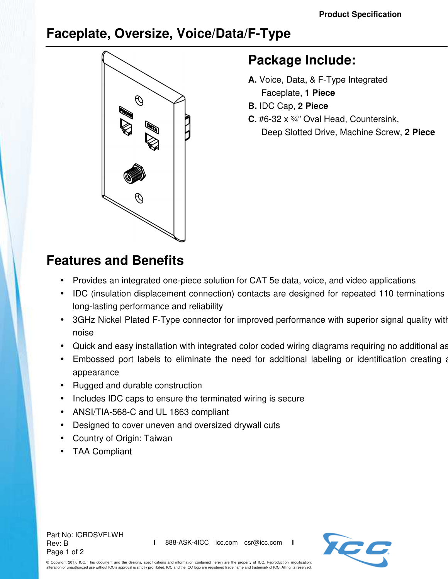## **Faceplate, Oversize, Voice/Data/F-Type**



## **Package Include:**

- **A.** Voice, Data, & F-Type Integrated Faceplate, **1 Piece**
- **B.** IDC Cap, **2 Piece**
- **C**. #6-32 x ¾" Oval Head, Countersink, Deep Slotted Drive, Machine Screw, **2 Piece**

## **Features and Benefits**

- Provides an integrated one-piece solution for CAT 5e data, voice, and video applications
- IDC (insulation displacement connection) contacts are designed for repeated 110 terminations long-lasting performance and reliability
- 3GHz Nickel Plated F-Type connector for improved performance with superior signal quality with noise
- Quick and easy installation with integrated color coded wiring diagrams requiring no additional as
- Embossed port labels to eliminate the need for additional labeling or identification creating a appearance
- Rugged and durable construction
- Includes IDC caps to ensure the terminated wiring is secure
- ANSI/TIA-568-C and UL 1863 compliant
- Designed to cover uneven and oversized drywall cuts
- Country of Origin: Taiwan
- TAA Compliant





© Copyright 2017, ICC. This document and the designs, specifications and information contained herein are the property of ICC. Reproduction, modification, and zorry, loor. This securion, and the seeign, spowntanties are incremented to the ICC logo are registered trade name and trademark of ICC. All rights reserved.